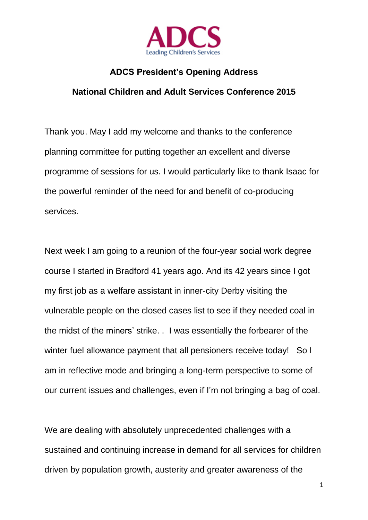

## **ADCS President's Opening Address**

## **National Children and Adult Services Conference 2015**

Thank you. May I add my welcome and thanks to the conference planning committee for putting together an excellent and diverse programme of sessions for us. I would particularly like to thank Isaac for the powerful reminder of the need for and benefit of co-producing services.

Next week I am going to a reunion of the four-year social work degree course I started in Bradford 41 years ago. And its 42 years since I got my first job as a welfare assistant in inner-city Derby visiting the vulnerable people on the closed cases list to see if they needed coal in the midst of the miners' strike. . I was essentially the forbearer of the winter fuel allowance payment that all pensioners receive today! So I am in reflective mode and bringing a long-term perspective to some of our current issues and challenges, even if I'm not bringing a bag of coal.

We are dealing with absolutely unprecedented challenges with a sustained and continuing increase in demand for all services for children driven by population growth, austerity and greater awareness of the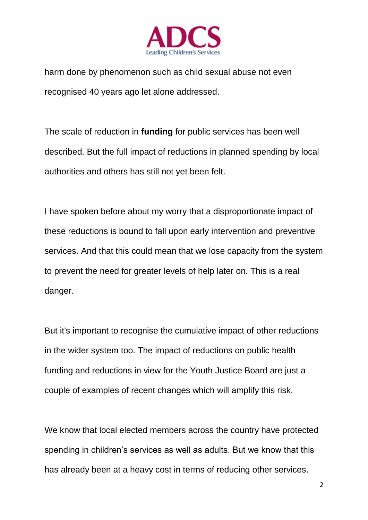

harm done by phenomenon such as child sexual abuse not even recognised 40 years ago let alone addressed.

The scale of reduction in **funding** for public services has been well described. But the full impact of reductions in planned spending by local authorities and others has still not yet been felt.

I have spoken before about my worry that a disproportionate impact of these reductions is bound to fall upon early intervention and preventive services. And that this could mean that we lose capacity from the system to prevent the need for greater levels of help later on. This is a real danger.

But it's important to recognise the cumulative impact of other reductions in the wider system too. The impact of reductions on public health funding and reductions in view for the Youth Justice Board are just a couple of examples of recent changes which will amplify this risk.

We know that local elected members across the country have protected spending in children's services as well as adults. But we know that this has already been at a heavy cost in terms of reducing other services.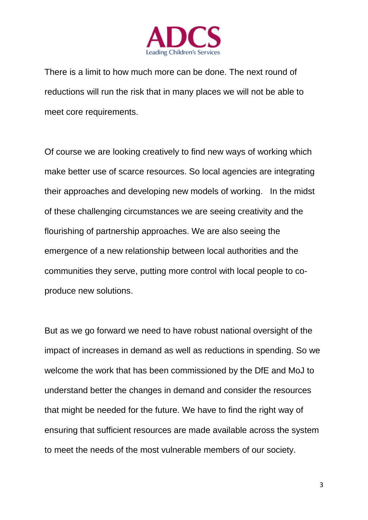

There is a limit to how much more can be done. The next round of reductions will run the risk that in many places we will not be able to meet core requirements.

Of course we are looking creatively to find new ways of working which make better use of scarce resources. So local agencies are integrating their approaches and developing new models of working. In the midst of these challenging circumstances we are seeing creativity and the flourishing of partnership approaches. We are also seeing the emergence of a new relationship between local authorities and the communities they serve, putting more control with local people to coproduce new solutions.

But as we go forward we need to have robust national oversight of the impact of increases in demand as well as reductions in spending. So we welcome the work that has been commissioned by the DfE and MoJ to understand better the changes in demand and consider the resources that might be needed for the future. We have to find the right way of ensuring that sufficient resources are made available across the system to meet the needs of the most vulnerable members of our society.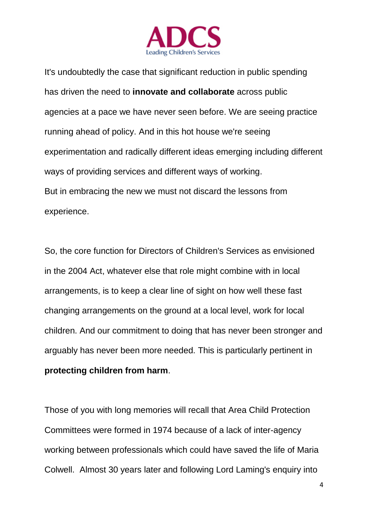

It's undoubtedly the case that significant reduction in public spending has driven the need to **innovate and collaborate** across public agencies at a pace we have never seen before. We are seeing practice running ahead of policy. And in this hot house we're seeing experimentation and radically different ideas emerging including different ways of providing services and different ways of working. But in embracing the new we must not discard the lessons from experience.

So, the core function for Directors of Children's Services as envisioned in the 2004 Act, whatever else that role might combine with in local arrangements, is to keep a clear line of sight on how well these fast changing arrangements on the ground at a local level, work for local children. And our commitment to doing that has never been stronger and arguably has never been more needed. This is particularly pertinent in **protecting children from harm**.

Those of you with long memories will recall that Area Child Protection Committees were formed in 1974 because of a lack of inter-agency working between professionals which could have saved the life of Maria Colwell. Almost 30 years later and following Lord Laming's enquiry into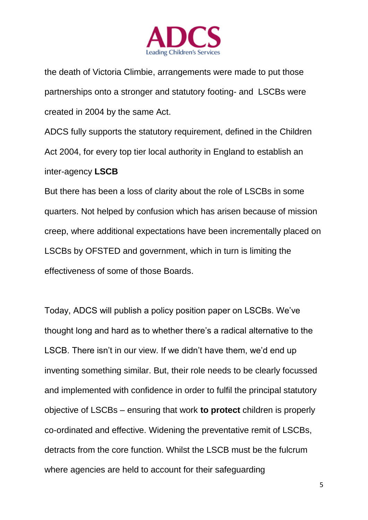

the death of Victoria Climbie, arrangements were made to put those partnerships onto a stronger and statutory footing- and LSCBs were created in 2004 by the same Act.

ADCS fully supports the statutory requirement, defined in the Children Act 2004, for every top tier local authority in England to establish an inter-agency **LSCB**

But there has been a loss of clarity about the role of LSCBs in some quarters. Not helped by confusion which has arisen because of mission creep, where additional expectations have been incrementally placed on LSCBs by OFSTED and government, which in turn is limiting the effectiveness of some of those Boards.

Today, ADCS will publish a policy position paper on LSCBs. We've thought long and hard as to whether there's a radical alternative to the LSCB. There isn't in our view. If we didn't have them, we'd end up inventing something similar. But, their role needs to be clearly focussed and implemented with confidence in order to fulfil the principal statutory objective of LSCBs – ensuring that work **to protect** children is properly co-ordinated and effective. Widening the preventative remit of LSCBs, detracts from the core function. Whilst the LSCB must be the fulcrum where agencies are held to account for their safeguarding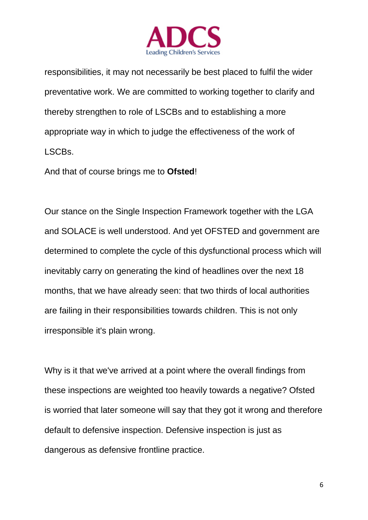

responsibilities, it may not necessarily be best placed to fulfil the wider preventative work. We are committed to working together to clarify and thereby strengthen to role of LSCBs and to establishing a more appropriate way in which to judge the effectiveness of the work of LSCBs.

And that of course brings me to **Ofsted**!

Our stance on the Single Inspection Framework together with the LGA and SOLACE is well understood. And yet OFSTED and government are determined to complete the cycle of this dysfunctional process which will inevitably carry on generating the kind of headlines over the next 18 months, that we have already seen: that two thirds of local authorities are failing in their responsibilities towards children. This is not only irresponsible it's plain wrong.

Why is it that we've arrived at a point where the overall findings from these inspections are weighted too heavily towards a negative? Ofsted is worried that later someone will say that they got it wrong and therefore default to defensive inspection. Defensive inspection is just as dangerous as defensive frontline practice.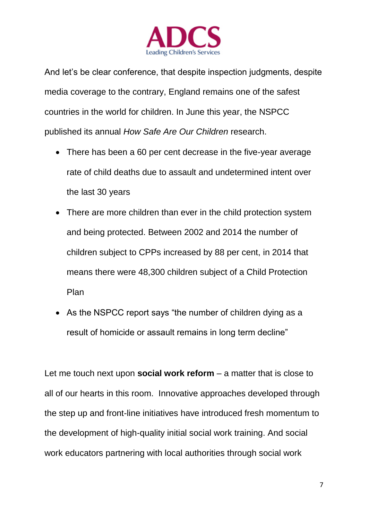

And let's be clear conference, that despite inspection judgments, despite media coverage to the contrary, England remains one of the safest countries in the world for children. In June this year, the NSPCC published its annual *How Safe Are Our Children* research.

- There has been a 60 per cent decrease in the five-year average rate of child deaths due to assault and undetermined intent over the last 30 years
- There are more children than ever in the child protection system and being protected. Between 2002 and 2014 the number of children subject to CPPs increased by 88 per cent, in 2014 that means there were 48,300 children subject of a Child Protection Plan
- As the NSPCC report says "the number of children dying as a result of homicide or assault remains in long term decline"

Let me touch next upon **social work reform** – a matter that is close to all of our hearts in this room. Innovative approaches developed through the step up and front-line initiatives have introduced fresh momentum to the development of high-quality initial social work training. And social work educators partnering with local authorities through social work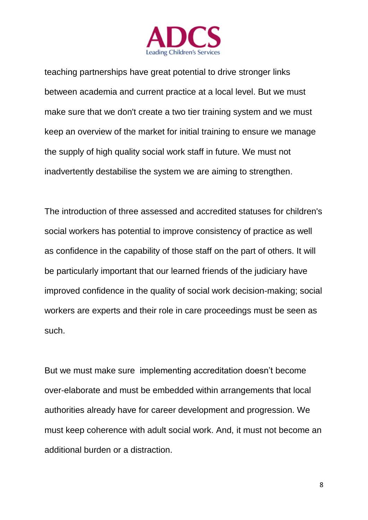

teaching partnerships have great potential to drive stronger links between academia and current practice at a local level. But we must make sure that we don't create a two tier training system and we must keep an overview of the market for initial training to ensure we manage the supply of high quality social work staff in future. We must not inadvertently destabilise the system we are aiming to strengthen.

The introduction of three assessed and accredited statuses for children's social workers has potential to improve consistency of practice as well as confidence in the capability of those staff on the part of others. It will be particularly important that our learned friends of the judiciary have improved confidence in the quality of social work decision-making; social workers are experts and their role in care proceedings must be seen as such.

But we must make sure implementing accreditation doesn't become over-elaborate and must be embedded within arrangements that local authorities already have for career development and progression. We must keep coherence with adult social work. And, it must not become an additional burden or a distraction.

8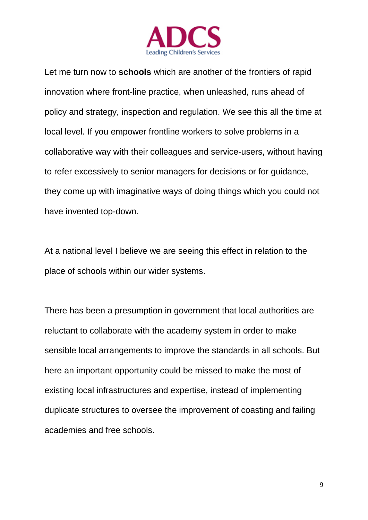

Let me turn now to **schools** which are another of the frontiers of rapid innovation where front-line practice, when unleashed, runs ahead of policy and strategy, inspection and regulation. We see this all the time at local level. If you empower frontline workers to solve problems in a collaborative way with their colleagues and service-users, without having to refer excessively to senior managers for decisions or for guidance, they come up with imaginative ways of doing things which you could not have invented top-down.

At a national level I believe we are seeing this effect in relation to the place of schools within our wider systems.

There has been a presumption in government that local authorities are reluctant to collaborate with the academy system in order to make sensible local arrangements to improve the standards in all schools. But here an important opportunity could be missed to make the most of existing local infrastructures and expertise, instead of implementing duplicate structures to oversee the improvement of coasting and failing academies and free schools.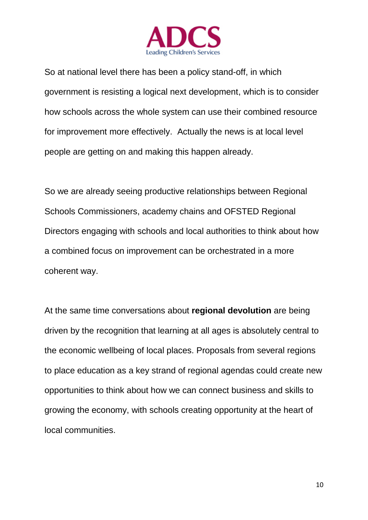

So at national level there has been a policy stand-off, in which government is resisting a logical next development, which is to consider how schools across the whole system can use their combined resource for improvement more effectively. Actually the news is at local level people are getting on and making this happen already.

So we are already seeing productive relationships between Regional Schools Commissioners, academy chains and OFSTED Regional Directors engaging with schools and local authorities to think about how a combined focus on improvement can be orchestrated in a more coherent way.

At the same time conversations about **regional devolution** are being driven by the recognition that learning at all ages is absolutely central to the economic wellbeing of local places. Proposals from several regions to place education as a key strand of regional agendas could create new opportunities to think about how we can connect business and skills to growing the economy, with schools creating opportunity at the heart of local communities.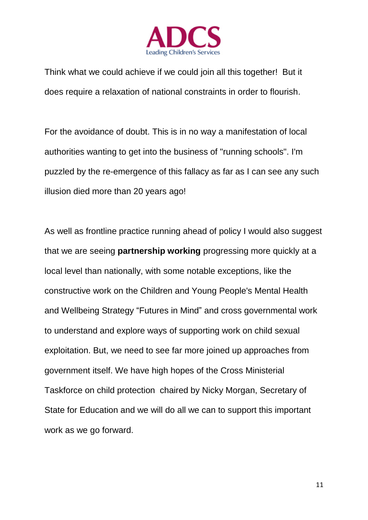

Think what we could achieve if we could join all this together! But it does require a relaxation of national constraints in order to flourish.

For the avoidance of doubt. This is in no way a manifestation of local authorities wanting to get into the business of "running schools". I'm puzzled by the re-emergence of this fallacy as far as I can see any such illusion died more than 20 years ago!

As well as frontline practice running ahead of policy I would also suggest that we are seeing **partnership working** progressing more quickly at a local level than nationally, with some notable exceptions, like the constructive work on the Children and Young People's Mental Health and Wellbeing Strategy "Futures in Mind" and cross governmental work to understand and explore ways of supporting work on child sexual exploitation. But, we need to see far more joined up approaches from government itself. We have high hopes of the Cross Ministerial Taskforce on child protection chaired by Nicky Morgan, Secretary of State for Education and we will do all we can to support this important work as we go forward.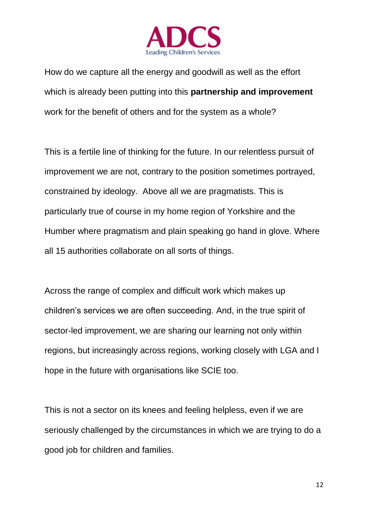

How do we capture all the energy and goodwill as well as the effort which is already been putting into this **partnership and improvement** work for the benefit of others and for the system as a whole?

This is a fertile line of thinking for the future. In our relentless pursuit of improvement we are not, contrary to the position sometimes portrayed, constrained by ideology. Above all we are pragmatists. This is particularly true of course in my home region of Yorkshire and the Humber where pragmatism and plain speaking go hand in glove. Where all 15 authorities collaborate on all sorts of things.

Across the range of complex and difficult work which makes up children's services we are often succeeding. And, in the true spirit of sector-led improvement, we are sharing our learning not only within regions, but increasingly across regions, working closely with LGA and I hope in the future with organisations like SCIE too.

This is not a sector on its knees and feeling helpless, even if we are seriously challenged by the circumstances in which we are trying to do a good job for children and families.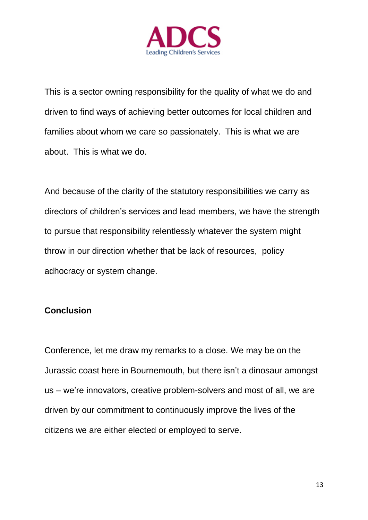

This is a sector owning responsibility for the quality of what we do and driven to find ways of achieving better outcomes for local children and families about whom we care so passionately. This is what we are about. This is what we do.

And because of the clarity of the statutory responsibilities we carry as directors of children's services and lead members, we have the strength to pursue that responsibility relentlessly whatever the system might throw in our direction whether that be lack of resources, policy adhocracy or system change.

## **Conclusion**

Conference, let me draw my remarks to a close. We may be on the Jurassic coast here in Bournemouth, but there isn't a dinosaur amongst us – we're innovators, creative problem-solvers and most of all, we are driven by our commitment to continuously improve the lives of the citizens we are either elected or employed to serve.